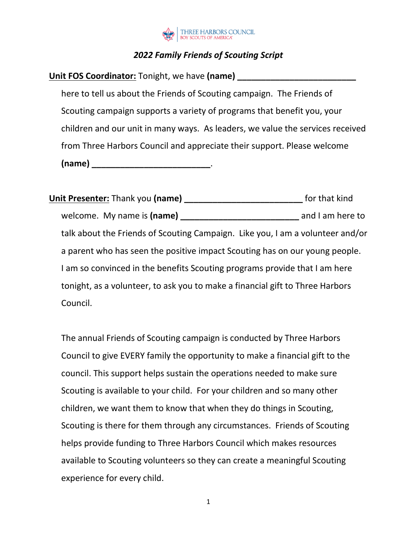

## *2022 Family Friends of Scouting Script*

**Unit FOS Coordinator:** Tonight, we have (name)

here to tell us about the Friends of Scouting campaign. The Friends of Scouting campaign supports a variety of programs that benefit you, your children and our unit in many ways. As leaders, we value the services received from Three Harbors Council and appreciate their support. Please welcome **(name) \_\_\_\_\_\_\_\_\_\_\_\_\_\_\_\_\_\_\_\_\_\_\_\_\_**.

**Unit Presenter:** Thank you **(name) \_\_\_\_\_\_\_\_\_\_\_\_\_\_\_\_\_\_\_\_\_\_\_\_\_** for that kind welcome. My name is **(name) \_\_\_\_\_\_\_\_\_\_\_\_\_\_\_\_\_\_\_\_\_\_\_\_\_** and I am here to talk about the Friends of Scouting Campaign. Like you, I am a volunteer and/or a parent who has seen the positive impact Scouting has on our young people. I am so convinced in the benefits Scouting programs provide that I am here tonight, as a volunteer, to ask you to make a financial gift to Three Harbors Council.

The annual Friends of Scouting campaign is conducted by Three Harbors Council to give EVERY family the opportunity to make a financial gift to the council. This support helps sustain the operations needed to make sure Scouting is available to your child. For your children and so many other children, we want them to know that when they do things in Scouting, Scouting is there for them through any circumstances. Friends of Scouting helps provide funding to Three Harbors Council which makes resources available to Scouting volunteers so they can create a meaningful Scouting experience for every child.

1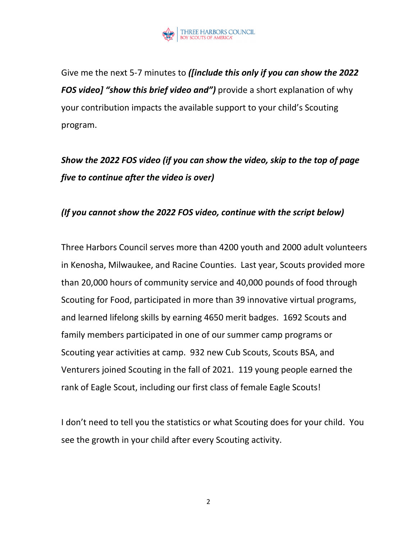

Give me the next 5-7 minutes to *([include this only if you can show the 2022 FOS video] "show this brief video and")* provide a short explanation of why your contribution impacts the available support to your child's Scouting program.

# *Show the 2022 FOS video (if you can show the video, skip to the top of page five to continue after the video is over)*

#### *(If you cannot show the 2022 FOS video, continue with the script below)*

Three Harbors Council serves more than 4200 youth and 2000 adult volunteers in Kenosha, Milwaukee, and Racine Counties. Last year, Scouts provided more than 20,000 hours of community service and 40,000 pounds of food through Scouting for Food, participated in more than 39 innovative virtual programs, and learned lifelong skills by earning 4650 merit badges. 1692 Scouts and family members participated in one of our summer camp programs or Scouting year activities at camp. 932 new Cub Scouts, Scouts BSA, and Venturers joined Scouting in the fall of 2021. 119 young people earned the rank of Eagle Scout, including our first class of female Eagle Scouts!

I don't need to tell you the statistics or what Scouting does for your child. You see the growth in your child after every Scouting activity.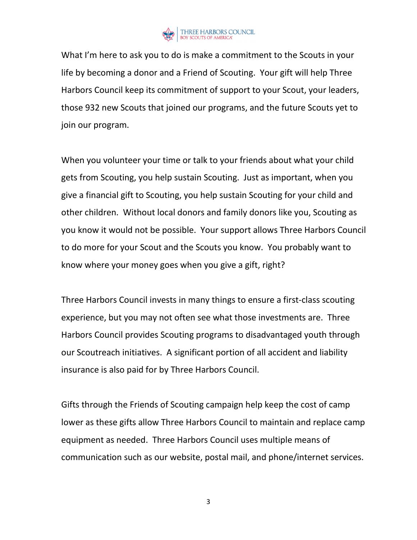

What I'm here to ask you to do is make a commitment to the Scouts in your life by becoming a donor and a Friend of Scouting. Your gift will help Three Harbors Council keep its commitment of support to your Scout, your leaders, those 932 new Scouts that joined our programs, and the future Scouts yet to join our program.

When you volunteer your time or talk to your friends about what your child gets from Scouting, you help sustain Scouting. Just as important, when you give a financial gift to Scouting, you help sustain Scouting for your child and other children. Without local donors and family donors like you, Scouting as you know it would not be possible. Your support allows Three Harbors Council to do more for your Scout and the Scouts you know. You probably want to know where your money goes when you give a gift, right?

Three Harbors Council invests in many things to ensure a first-class scouting experience, but you may not often see what those investments are. Three Harbors Council provides Scouting programs to disadvantaged youth through our Scoutreach initiatives. A significant portion of all accident and liability insurance is also paid for by Three Harbors Council.

Gifts through the Friends of Scouting campaign help keep the cost of camp lower as these gifts allow Three Harbors Council to maintain and replace camp equipment as needed. Three Harbors Council uses multiple means of communication such as our website, postal mail, and phone/internet services.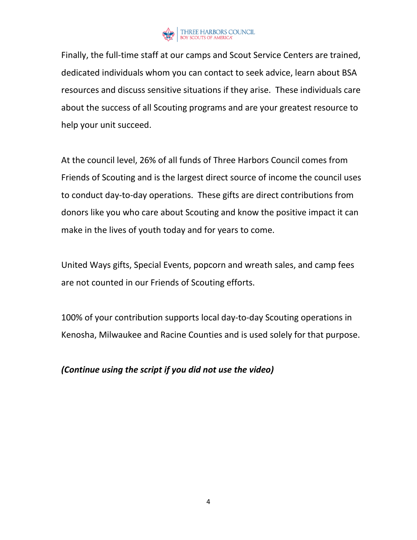

Finally, the full-time staff at our camps and Scout Service Centers are trained, dedicated individuals whom you can contact to seek advice, learn about BSA resources and discuss sensitive situations if they arise. These individuals care about the success of all Scouting programs and are your greatest resource to help your unit succeed.

At the council level, 26% of all funds of Three Harbors Council comes from Friends of Scouting and is the largest direct source of income the council uses to conduct day-to-day operations. These gifts are direct contributions from donors like you who care about Scouting and know the positive impact it can make in the lives of youth today and for years to come.

United Ways gifts, Special Events, popcorn and wreath sales, and camp fees are not counted in our Friends of Scouting efforts.

100% of your contribution supports local day-to-day Scouting operations in Kenosha, Milwaukee and Racine Counties and is used solely for that purpose.

#### *(Continue using the script if you did not use the video)*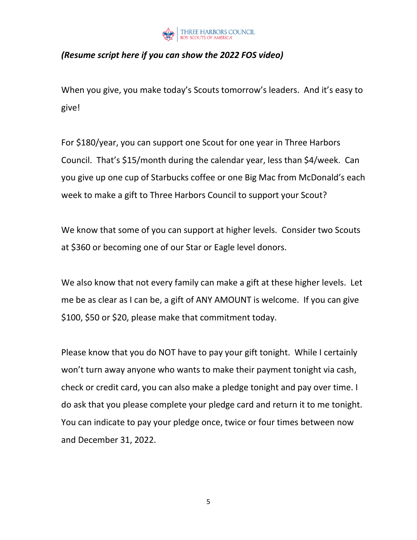

### *(Resume script here if you can show the 2022 FOS video)*

When you give, you make today's Scouts tomorrow's leaders. And it's easy to give!

For \$180/year, you can support one Scout for one year in Three Harbors Council. That's \$15/month during the calendar year, less than \$4/week. Can you give up one cup of Starbucks coffee or one Big Mac from McDonald's each week to make a gift to Three Harbors Council to support your Scout?

We know that some of you can support at higher levels. Consider two Scouts at \$360 or becoming one of our Star or Eagle level donors.

We also know that not every family can make a gift at these higher levels. Let me be as clear as I can be, a gift of ANY AMOUNT is welcome. If you can give \$100, \$50 or \$20, please make that commitment today.

Please know that you do NOT have to pay your gift tonight. While I certainly won't turn away anyone who wants to make their payment tonight via cash, check or credit card, you can also make a pledge tonight and pay over time. I do ask that you please complete your pledge card and return it to me tonight. You can indicate to pay your pledge once, twice or four times between now and December 31, 2022.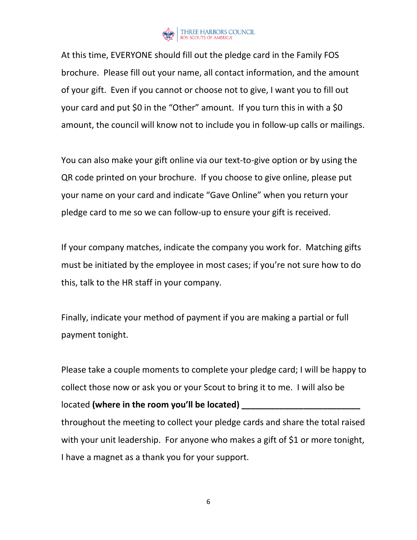

At this time, EVERYONE should fill out the pledge card in the Family FOS brochure. Please fill out your name, all contact information, and the amount of your gift. Even if you cannot or choose not to give, I want you to fill out your card and put \$0 in the "Other" amount. If you turn this in with a \$0 amount, the council will know not to include you in follow-up calls or mailings.

You can also make your gift online via our text-to-give option or by using the QR code printed on your brochure. If you choose to give online, please put your name on your card and indicate "Gave Online" when you return your pledge card to me so we can follow-up to ensure your gift is received.

If your company matches, indicate the company you work for. Matching gifts must be initiated by the employee in most cases; if you're not sure how to do this, talk to the HR staff in your company.

Finally, indicate your method of payment if you are making a partial or full payment tonight.

Please take a couple moments to complete your pledge card; I will be happy to collect those now or ask you or your Scout to bring it to me. I will also be located **(where in the room you'll be located)** throughout the meeting to collect your pledge cards and share the total raised with your unit leadership. For anyone who makes a gift of \$1 or more tonight, I have a magnet as a thank you for your support.

6